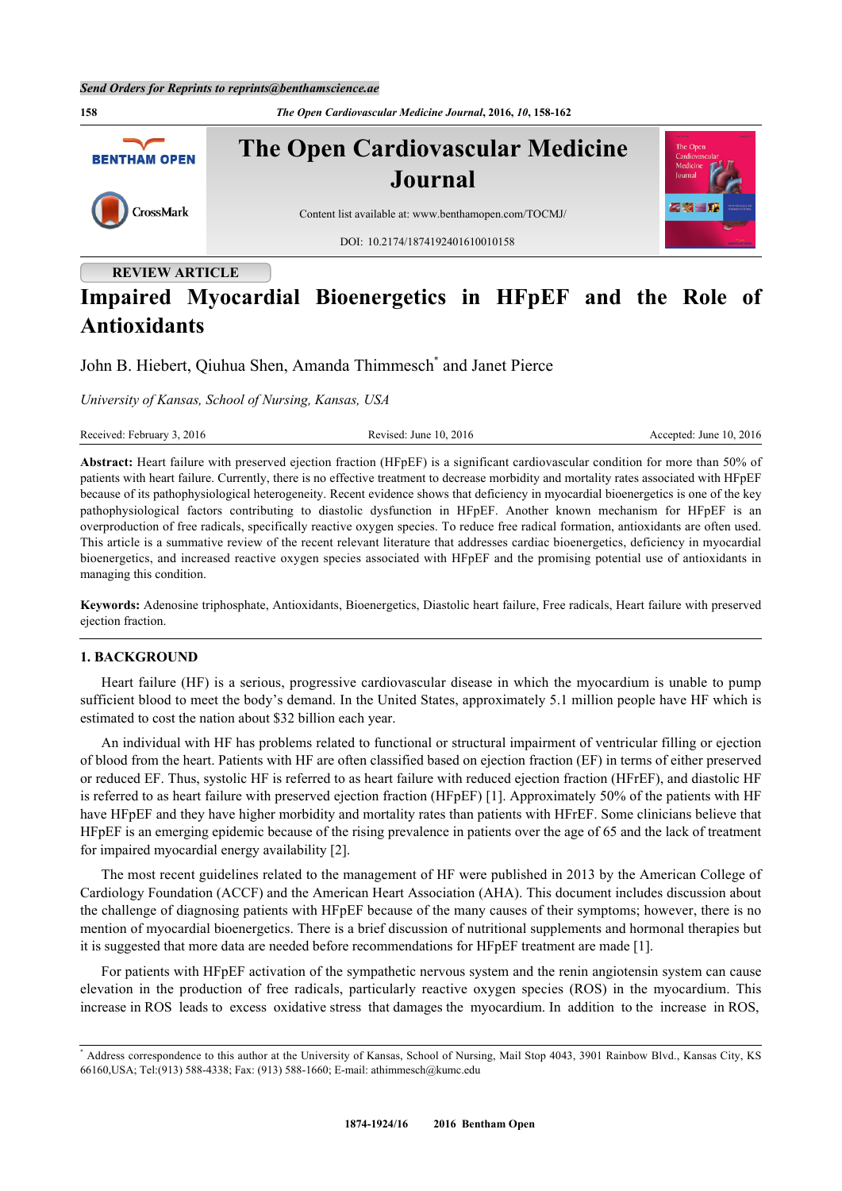**158** *The Open Cardiovascular Medicine Journal***, 2016,** *10***, 158-162 The Open Cardiovascular Medicine BENTHAM OPEN Journal** CrossMark Content list available at: [www.benthamopen.com/TOCMJ/](http://www.benthamopen.com/TOCMJ/) DOI: [10.2174/1874192401610010158](http://dx.doi.org/10.2174/1874192401610012158)

# **REVIEW ARTICLE**

# **Impaired Myocardial Bioenergetics in HFpEF and the Role of Antioxidants**

John B. Hiebert, Qiuhua Shen, Amanda Thimmesch<sup>[\\*](#page-0-0)</sup> and Janet Pierce

*University of Kansas, School of Nursing, Kansas, USA*

Received: February 3, 2016 Revised: June 10, 2016 Revised: June 10, 2016 Accepted: June 10, 2016

**Abstract:** Heart failure with preserved ejection fraction (HFpEF) is a significant cardiovascular condition for more than 50% of patients with heart failure. Currently, there is no effective treatment to decrease morbidity and mortality rates associated with HFpEF because of its pathophysiological heterogeneity. Recent evidence shows that deficiency in myocardial bioenergetics is one of the key pathophysiological factors contributing to diastolic dysfunction in HFpEF. Another known mechanism for HFpEF is an overproduction of free radicals, specifically reactive oxygen species. To reduce free radical formation, antioxidants are often used. This article is a summative review of the recent relevant literature that addresses cardiac bioenergetics, deficiency in myocardial bioenergetics, and increased reactive oxygen species associated with HFpEF and the promising potential use of antioxidants in managing this condition.

**Keywords:** Adenosine triphosphate, Antioxidants, Bioenergetics, Diastolic heart failure, Free radicals, Heart failure with preserved ejection fraction.

## **1. BACKGROUND**

Heart failure (HF) is a serious, progressive cardiovascular disease in which the myocardium is unable to pump sufficient blood to meet the body's demand. In the United States, approximately 5.1 million people have HF which is estimated to cost the nation about \$32 billion each year.

An individual with HF has problems related to functional or structural impairment of ventricular filling or ejection of blood from the heart. Patients with HF are often classified based on ejection fraction (EF) in terms of either preserved or reduced EF. Thus, systolic HF is referred to as heart failure with reduced ejection fraction (HFrEF), and diastolic HF is referred to as heart failure with preserved ejection fraction (HFpEF) [\[1](#page-2-0)]. Approximately 50% of the patients with HF have HFpEF and they have higher morbidity and mortality rates than patients with HFrEF. Some clinicians believe that HFpEF is an emerging epidemic because of the rising prevalence in patients over the age of 65 and the lack of treatment for impaired myocardial energy availability [[2\]](#page-3-0).

The most recent guidelines related to the management of HF were published in 2013 by the American College of Cardiology Foundation (ACCF) and the American Heart Association (AHA). This document includes discussion about the challenge of diagnosing patients with HFpEF because of the many causes of their symptoms; however, there is no mention of myocardial bioenergetics. There is a brief discussion of nutritional supplements and hormonal therapies but it is suggested that more data are needed before recommendations for HFpEF treatment are made [\[1](#page-2-0)].

For patients with HFpEF activation of the sympathetic nervous system and the renin angiotensin system can cause elevation in the production of free radicals, particularly reactive oxygen species (ROS) in the myocardium. This increase in ROS leads to excess oxidative stress that damages the myocardium. In addition to the increase in ROS,

<span id="page-0-0"></span><sup>\*</sup> Address correspondence to this author at the University of Kansas, School of Nursing, Mail Stop 4043, 3901 Rainbow Blvd., Kansas City, KS 66160,USA; Tel:(913) 588-4338; Fax: (913) 588-1660; E-mail: [athimmesch@kumc.edu](mailto:athimmesch@kumc.edu)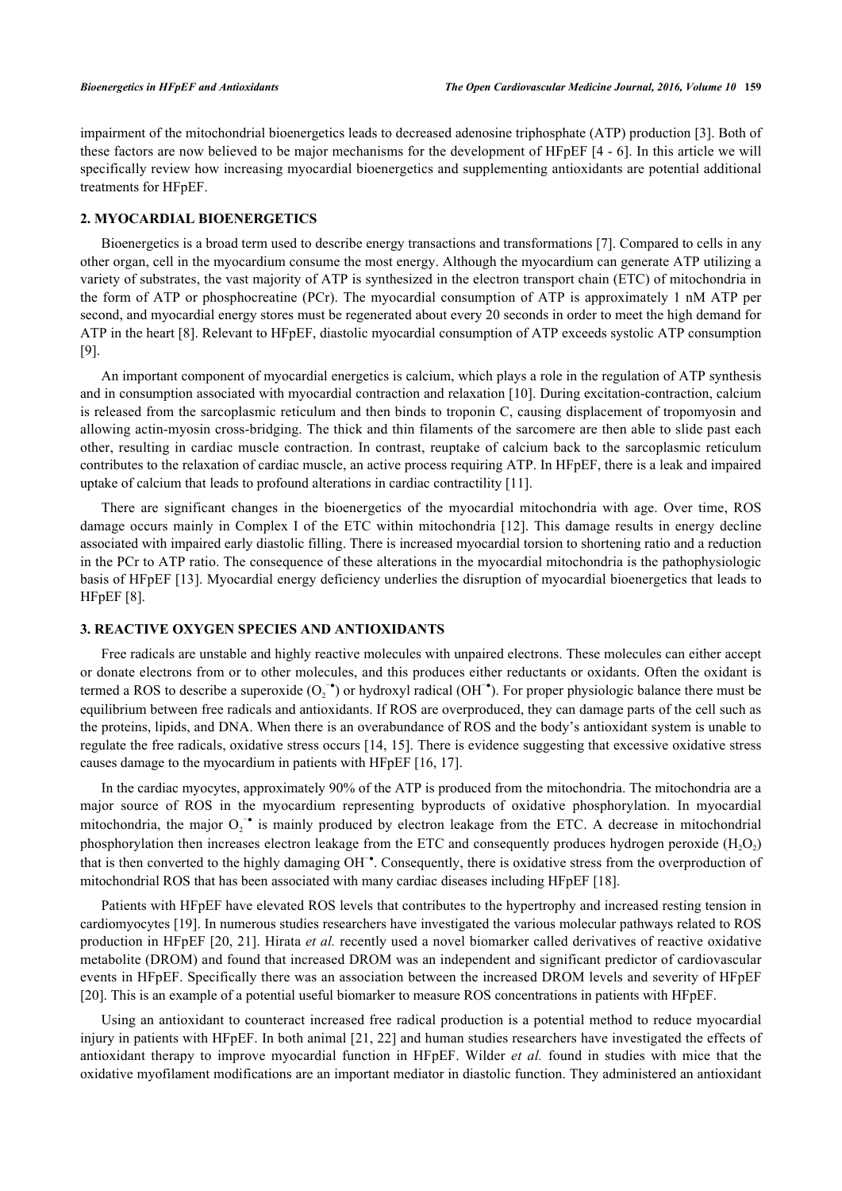impairment of the mitochondrial bioenergetics leads to decreased adenosine triphosphate (ATP) production [[3\]](#page-3-1). Both of these factors are now believed to be major mechanisms for the development of HFpEF [[4](#page-3-2) - [6](#page-3-3)]. In this article we will specifically review how increasing myocardial bioenergetics and supplementing antioxidants are potential additional treatments for HFpEF.

## **2. MYOCARDIAL BIOENERGETICS**

Bioenergetics is a broad term used to describe energy transactions and transformations [[7\]](#page-3-4). Compared to cells in any other organ, cell in the myocardium consume the most energy. Although the myocardium can generate ATP utilizing a variety of substrates, the vast majority of ATP is synthesized in the electron transport chain (ETC) of mitochondria in the form of ATP or phosphocreatine (PCr). The myocardial consumption of ATP is approximately 1 nM ATP per second, and myocardial energy stores must be regenerated about every 20 seconds in order to meet the high demand for ATP in the heart [\[8](#page-3-5)]. Relevant to HFpEF, diastolic myocardial consumption of ATP exceeds systolic ATP consumption [\[9](#page-3-6)].

An important component of myocardial energetics is calcium, which plays a role in the regulation of ATP synthesis and in consumption associated with myocardial contraction and relaxation [\[10](#page-3-7)]. During excitation-contraction, calcium is released from the sarcoplasmic reticulum and then binds to troponin C, causing displacement of tropomyosin and allowing actin-myosin cross-bridging. The thick and thin filaments of the sarcomere are then able to slide past each other, resulting in cardiac muscle contraction. In contrast, reuptake of calcium back to the sarcoplasmic reticulum contributes to the relaxation of cardiac muscle, an active process requiring ATP. In HFpEF, there is a leak and impaired uptake of calcium that leads to profound alterations in cardiac contractility [[11\]](#page-3-8).

There are significant changes in the bioenergetics of the myocardial mitochondria with age. Over time, ROS damage occurs mainly in Complex I of the ETC within mitochondria [[12](#page-3-9)]. This damage results in energy decline associated with impaired early diastolic filling. There is increased myocardial torsion to shortening ratio and a reduction in the PCr to ATP ratio. The consequence of these alterations in the myocardial mitochondria is the pathophysiologic basis of HFpEF [\[13\]](#page-3-10). Myocardial energy deficiency underlies the disruption of myocardial bioenergetics that leads to HFpEF [[8\]](#page-3-5).

## **3. REACTIVE OXYGEN SPECIES AND ANTIOXIDANTS**

Free radicals are unstable and highly reactive molecules with unpaired electrons. These molecules can either accept or donate electrons from or to other molecules, and this produces either reductants or oxidants. Often the oxidant is termed a ROS to describe a superoxide  $(O_2^{-\bullet})$  or hydroxyl radical (OH<sup>-•</sup>). For proper physiologic balance there must be equilibrium between free radicals and antioxidants. If ROS are overproduced, they can damage parts of the cell such as the proteins, lipids, and DNA. When there is an overabundance of ROS and the body's antioxidant system is unable to regulate the free radicals, oxidative stress occurs [[14](#page-3-11), [15\]](#page-3-12). There is evidence suggesting that excessive oxidative stress causes damage to the myocardium in patients with HFpEF [\[16](#page-3-13), [17](#page-3-14)].

In the cardiac myocytes, approximately 90% of the ATP is produced from the mitochondria. The mitochondria are a major source of ROS in the myocardium representing byproducts of oxidative phosphorylation. In myocardial mitochondria, the major  $O_2^{\bullet}$  is mainly produced by electron leakage from the ETC. A decrease in mitochondrial phosphorylation then increases electron leakage from the ETC and consequently produces hydrogen peroxide ( $H_2O_2$ ) that is then converted to the highly damaging OH<sup>−</sup>. Consequently, there is oxidative stress from the overproduction of mitochondrial ROS that has been associated with many cardiac diseases including HFpEF [[18\]](#page-3-15).

Patients with HFpEF have elevated ROS levels that contributes to the hypertrophy and increased resting tension in cardiomyocytes [\[19](#page-3-16)]. In numerous studies researchers have investigated the various molecular pathways related to ROS production in HFpEF [[20](#page-3-17), [21](#page-3-18)]. Hirata *et al.* recently used a novel biomarker called derivatives of reactive oxidative metabolite (DROM) and found that increased DROM was an independent and significant predictor of cardiovascular events in HFpEF. Specifically there was an association between the increased DROM levels and severity of HFpEF [\[20](#page-3-17)]. This is an example of a potential useful biomarker to measure ROS concentrations in patients with HFpEF.

Using an antioxidant to counteract increased free radical production is a potential method to reduce myocardial injury in patients with HFpEF. In both animal [\[21](#page-3-18), [22\]](#page-3-19) and human studies researchers have investigated the effects of antioxidant therapy to improve myocardial function in HFpEF. Wilder *et al.* found in studies with mice that the oxidative myofilament modifications are an important mediator in diastolic function. They administered an antioxidant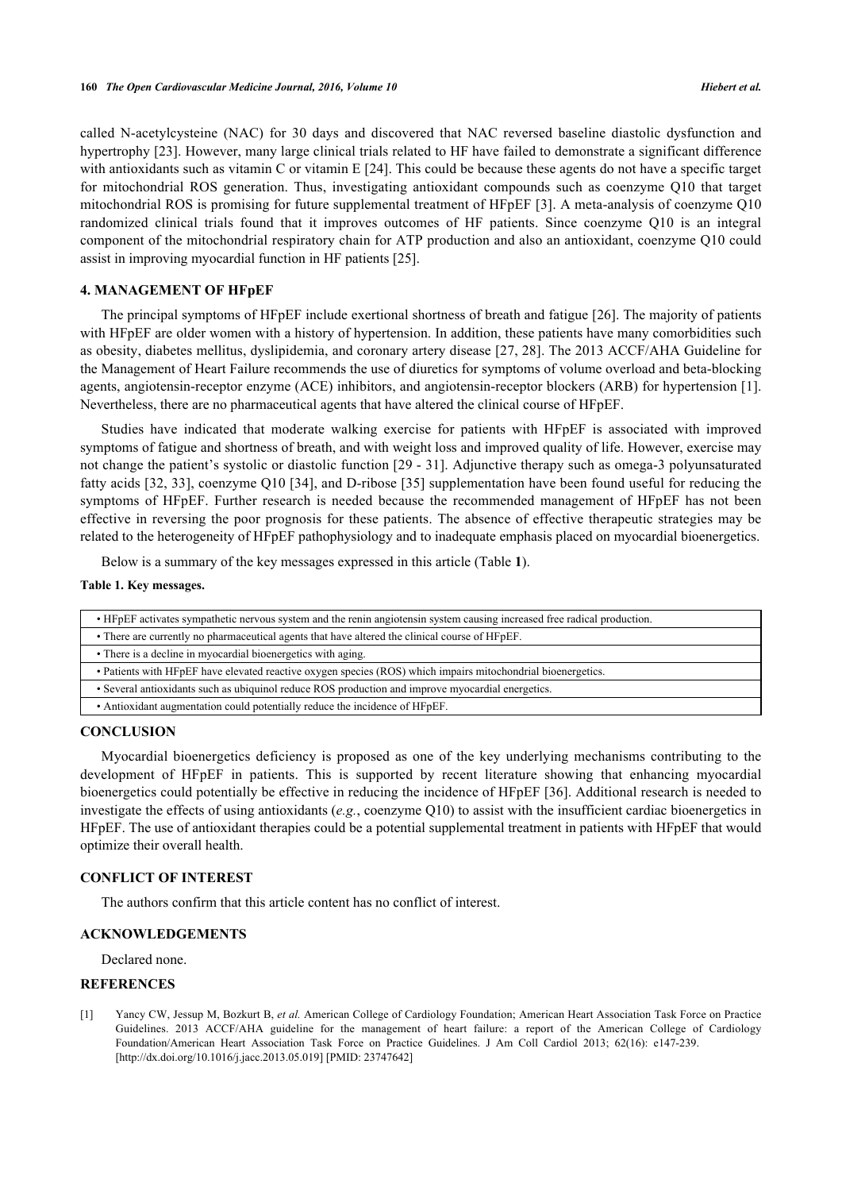called N-acetylcysteine (NAC) for 30 days and discovered that NAC reversed baseline diastolic dysfunction and hypertrophy [\[23](#page-3-20)]. However, many large clinical trials related to HF have failed to demonstrate a significant difference with antioxidants such as vitamin C or vitamin E [\[24](#page-3-21)]. This could be because these agents do not have a specific target for mitochondrial ROS generation. Thus, investigating antioxidant compounds such as coenzyme Q10 that target mitochondrial ROS is promising for future supplemental treatment of HFpEF [\[3](#page-3-1)]. A meta-analysis of coenzyme Q10 randomized clinical trials found that it improves outcomes of HF patients. Since coenzyme Q10 is an integral component of the mitochondrial respiratory chain for ATP production and also an antioxidant, coenzyme Q10 could assist in improving myocardial function in HF patients [\[25](#page-4-0)].

## **4. MANAGEMENT OF HFpEF**

The principal symptoms of HFpEF include exertional shortness of breath and fatigue [\[26](#page-4-1)]. The majority of patients with HFpEF are older women with a history of hypertension. In addition, these patients have many comorbidities such as obesity, diabetes mellitus, dyslipidemia, and coronary artery disease [[27,](#page-4-2) [28](#page-4-3)]. The 2013 ACCF/AHA Guideline for the Management of Heart Failure recommends the use of diuretics for symptoms of volume overload and beta-blocking agents, angiotensin-receptor enzyme (ACE) inhibitors, and angiotensin-receptor blockers (ARB) for hypertension [[1\]](#page-2-0). Nevertheless, there are no pharmaceutical agents that have altered the clinical course of HFpEF.

Studies have indicated that moderate walking exercise for patients with HFpEF is associated with improved symptoms of fatigue and shortness of breath, and with weight loss and improved quality of life. However, exercise may not change the patient's systolic or diastolic function [[29](#page-4-4) - [31](#page-4-5)]. Adjunctive therapy such as omega-3 polyunsaturated fatty acids [[32,](#page-4-6) [33\]](#page-4-7), coenzyme Q10 [\[34\]](#page-4-8), and D-ribose [[35](#page-4-9)] supplementation have been found useful for reducing the symptoms of HFpEF. Further research is needed because the recommended management of HFpEF has not been effective in reversing the poor prognosis for these patients. The absence of effective therapeutic strategies may be related to the heterogeneity of HFpEF pathophysiology and to inadequate emphasis placed on myocardial bioenergetics.

Below is a summary of the key messages expressed in this article (Table **[1](#page-2-1)**).

### <span id="page-2-1"></span>**Table 1. Key messages.**

| • HFpEF activates sympathetic nervous system and the renin angiotensin system causing increased free radical production. |
|--------------------------------------------------------------------------------------------------------------------------|
| • There are currently no pharmaceutical agents that have altered the clinical course of HFpEF.                           |
| • There is a decline in myocardial bioenergetics with aging.                                                             |
| • Patients with HFpEF have elevated reactive oxygen species (ROS) which impairs mitochondrial bioenergetics.             |
| • Several antioxidants such as ubiquinol reduce ROS production and improve myocardial energetics.                        |
| • Antioxidant augmentation could potentially reduce the incidence of HFpEF.                                              |

## **CONCLUSION**

Myocardial bioenergetics deficiency is proposed as one of the key underlying mechanisms contributing to the development of HFpEF in patients. This is supported by recent literature showing that enhancing myocardial bioenergetics could potentially be effective in reducing the incidence of HFpEF [\[36](#page-4-10)]. Additional research is needed to investigate the effects of using antioxidants (*e.g.*, coenzyme Q10) to assist with the insufficient cardiac bioenergetics in HFpEF. The use of antioxidant therapies could be a potential supplemental treatment in patients with HFpEF that would optimize their overall health.

## **CONFLICT OF INTEREST**

The authors confirm that this article content has no conflict of interest.

## **ACKNOWLEDGEMENTS**

Declared none.

## **REFERENCES**

<span id="page-2-0"></span>[1] Yancy CW, Jessup M, Bozkurt B, *et al.* American College of Cardiology Foundation; American Heart Association Task Force on Practice Guidelines. 2013 ACCF/AHA guideline for the management of heart failure: a report of the American College of Cardiology Foundation/American Heart Association Task Force on Practice Guidelines. J Am Coll Cardiol 2013; 62(16): e147-239. [\[http://dx.doi.org/10.1016/j.jacc.2013.05.019\]](http://dx.doi.org/10.1016/j.jacc.2013.05.019) [PMID: [23747642](http://www.ncbi.nlm.nih.gov/pubmed/23747642)]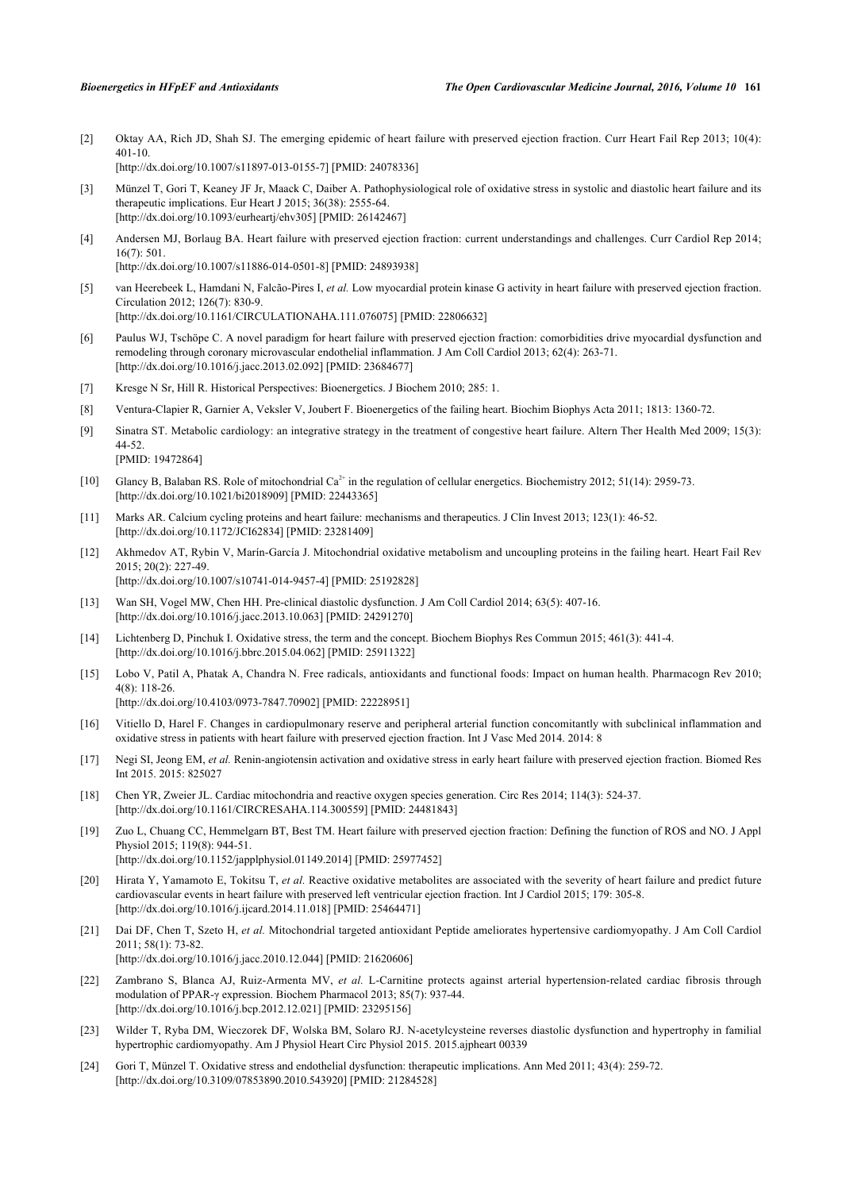<span id="page-3-0"></span>[2] Oktay AA, Rich JD, Shah SJ. The emerging epidemic of heart failure with preserved ejection fraction. Curr Heart Fail Rep 2013; 10(4): 401-10. [\[http://dx.doi.org/10.1007/s11897-013-0155-7\]](http://dx.doi.org/10.1007/s11897-013-0155-7) [PMID: [24078336](http://www.ncbi.nlm.nih.gov/pubmed/24078336)]

<span id="page-3-1"></span>[3] Münzel T, Gori T, Keaney JF Jr, Maack C, Daiber A. Pathophysiological role of oxidative stress in systolic and diastolic heart failure and its therapeutic implications. Eur Heart J 2015; 36(38): 2555-64. [\[http://dx.doi.org/10.1093/eurheartj/ehv305](http://dx.doi.org/10.1093/eurheartj/ehv305)] [PMID: [26142467\]](http://www.ncbi.nlm.nih.gov/pubmed/26142467)

<span id="page-3-2"></span>[4] Andersen MJ, Borlaug BA. Heart failure with preserved ejection fraction: current understandings and challenges. Curr Cardiol Rep 2014; 16(7): 501.

[\[http://dx.doi.org/10.1007/s11886-014-0501-8\]](http://dx.doi.org/10.1007/s11886-014-0501-8) [PMID: [24893938](http://www.ncbi.nlm.nih.gov/pubmed/24893938)]

- [5] van Heerebeek L, Hamdani N, Falcão-Pires I, *et al.* Low myocardial protein kinase G activity in heart failure with preserved ejection fraction. Circulation 2012; 126(7): 830-9. [\[http://dx.doi.org/10.1161/CIRCULATIONAHA.111.076075](http://dx.doi.org/10.1161/CIRCULATIONAHA.111.076075)] [PMID: [22806632\]](http://www.ncbi.nlm.nih.gov/pubmed/22806632)
- <span id="page-3-3"></span>[6] Paulus WJ, Tschöpe C. A novel paradigm for heart failure with preserved ejection fraction: comorbidities drive myocardial dysfunction and remodeling through coronary microvascular endothelial inflammation. J Am Coll Cardiol 2013; 62(4): 263-71. [\[http://dx.doi.org/10.1016/j.jacc.2013.02.092\]](http://dx.doi.org/10.1016/j.jacc.2013.02.092) [PMID: [23684677](http://www.ncbi.nlm.nih.gov/pubmed/23684677)]
- <span id="page-3-4"></span>[7] Kresge N Sr, Hill R. Historical Perspectives: Bioenergetics. J Biochem 2010; 285: 1.
- <span id="page-3-5"></span>[8] Ventura-Clapier R, Garnier A, Veksler V, Joubert F. Bioenergetics of the failing heart. Biochim Biophys Acta 2011; 1813: 1360-72.
- <span id="page-3-6"></span>[9] Sinatra ST. Metabolic cardiology: an integrative strategy in the treatment of congestive heart failure. Altern Ther Health Med 2009; 15(3): 44-52.

[PMID: [19472864\]](http://www.ncbi.nlm.nih.gov/pubmed/19472864)

- <span id="page-3-7"></span>[10] Glancy B, Balaban RS. Role of mitochondrial Ca<sup>2+</sup> in the regulation of cellular energetics. Biochemistry 2012; 51(14): 2959-73. [\[http://dx.doi.org/10.1021/bi2018909](http://dx.doi.org/10.1021/bi2018909)] [PMID: [22443365\]](http://www.ncbi.nlm.nih.gov/pubmed/22443365)
- <span id="page-3-8"></span>[11] Marks AR. Calcium cycling proteins and heart failure: mechanisms and therapeutics. J Clin Invest 2013; 123(1): 46-52. [\[http://dx.doi.org/10.1172/JCI62834\]](http://dx.doi.org/10.1172/JCI62834) [PMID: [23281409](http://www.ncbi.nlm.nih.gov/pubmed/23281409)]
- <span id="page-3-9"></span>[12] Akhmedov AT, Rybin V, Marín-García J. Mitochondrial oxidative metabolism and uncoupling proteins in the failing heart. Heart Fail Rev 2015; 20(2): 227-49. [\[http://dx.doi.org/10.1007/s10741-014-9457-4\]](http://dx.doi.org/10.1007/s10741-014-9457-4) [PMID: [25192828](http://www.ncbi.nlm.nih.gov/pubmed/25192828)]
- <span id="page-3-10"></span>[13] Wan SH, Vogel MW, Chen HH. Pre-clinical diastolic dysfunction. J Am Coll Cardiol 2014; 63(5): 407-16. [\[http://dx.doi.org/10.1016/j.jacc.2013.10.063\]](http://dx.doi.org/10.1016/j.jacc.2013.10.063) [PMID: [24291270](http://www.ncbi.nlm.nih.gov/pubmed/24291270)]
- <span id="page-3-11"></span>[14] Lichtenberg D, Pinchuk I. Oxidative stress, the term and the concept. Biochem Biophys Res Commun 2015; 461(3): 441-4. [\[http://dx.doi.org/10.1016/j.bbrc.2015.04.062](http://dx.doi.org/10.1016/j.bbrc.2015.04.062)] [PMID: [25911322\]](http://www.ncbi.nlm.nih.gov/pubmed/25911322)
- <span id="page-3-12"></span>[15] Lobo V, Patil A, Phatak A, Chandra N. Free radicals, antioxidants and functional foods: Impact on human health. Pharmacogn Rev 2010; 4(8): 118-26.

[\[http://dx.doi.org/10.4103/0973-7847.70902](http://dx.doi.org/10.4103/0973-7847.70902)] [PMID: [22228951](http://www.ncbi.nlm.nih.gov/pubmed/22228951)]

- <span id="page-3-13"></span>[16] Vitiello D, Harel F. Changes in cardiopulmonary reserve and peripheral arterial function concomitantly with subclinical inflammation and oxidative stress in patients with heart failure with preserved ejection fraction. Int J Vasc Med 2014. 2014: 8
- <span id="page-3-14"></span>[17] Negi SI, Jeong EM, *et al.* Renin-angiotensin activation and oxidative stress in early heart failure with preserved ejection fraction. Biomed Res Int 2015. 2015: 825027
- <span id="page-3-15"></span>[18] Chen YR, Zweier JL. Cardiac mitochondria and reactive oxygen species generation. Circ Res 2014; 114(3): 524-37. [\[http://dx.doi.org/10.1161/CIRCRESAHA.114.300559](http://dx.doi.org/10.1161/CIRCRESAHA.114.300559)] [PMID: [24481843](http://www.ncbi.nlm.nih.gov/pubmed/24481843)]
- <span id="page-3-16"></span>[19] Zuo L, Chuang CC, Hemmelgarn BT, Best TM. Heart failure with preserved ejection fraction: Defining the function of ROS and NO. J Appl Physiol 2015; 119(8): 944-51.

[\[http://dx.doi.org/10.1152/japplphysiol.01149.2014](http://dx.doi.org/10.1152/japplphysiol.01149.2014)] [PMID: [25977452\]](http://www.ncbi.nlm.nih.gov/pubmed/25977452)

- <span id="page-3-17"></span>[20] Hirata Y, Yamamoto E, Tokitsu T, et al. Reactive oxidative metabolites are associated with the severity of heart failure and predict future cardiovascular events in heart failure with preserved left ventricular ejection fraction. Int J Cardiol 2015; 179: 305-8. [\[http://dx.doi.org/10.1016/j.ijcard.2014.11.018](http://dx.doi.org/10.1016/j.ijcard.2014.11.018)] [PMID: [25464471\]](http://www.ncbi.nlm.nih.gov/pubmed/25464471)
- <span id="page-3-18"></span>[21] Dai DF, Chen T, Szeto H, *et al.* Mitochondrial targeted antioxidant Peptide ameliorates hypertensive cardiomyopathy. J Am Coll Cardiol 2011; 58(1): 73-82. [\[http://dx.doi.org/10.1016/j.jacc.2010.12.044\]](http://dx.doi.org/10.1016/j.jacc.2010.12.044) [PMID: [21620606](http://www.ncbi.nlm.nih.gov/pubmed/21620606)]
- <span id="page-3-19"></span>[22] Zambrano S, Blanca AJ, Ruiz-Armenta MV, *et al.* L-Carnitine protects against arterial hypertension-related cardiac fibrosis through modulation of PPAR-γ expression. Biochem Pharmacol 2013; 85(7): 937-44. [\[http://dx.doi.org/10.1016/j.bcp.2012.12.021\]](http://dx.doi.org/10.1016/j.bcp.2012.12.021) [PMID: [23295156](http://www.ncbi.nlm.nih.gov/pubmed/23295156)]
- <span id="page-3-20"></span>[23] Wilder T, Ryba DM, Wieczorek DF, Wolska BM, Solaro RJ. N-acetylcysteine reverses diastolic dysfunction and hypertrophy in familial hypertrophic cardiomyopathy. Am J Physiol Heart Circ Physiol 2015. 2015.ajpheart 00339
- <span id="page-3-21"></span>[24] Gori T, Münzel T. Oxidative stress and endothelial dysfunction: therapeutic implications. Ann Med 2011; 43(4): 259-72. [\[http://dx.doi.org/10.3109/07853890.2010.543920\]](http://dx.doi.org/10.3109/07853890.2010.543920) [PMID: [21284528](http://www.ncbi.nlm.nih.gov/pubmed/21284528)]